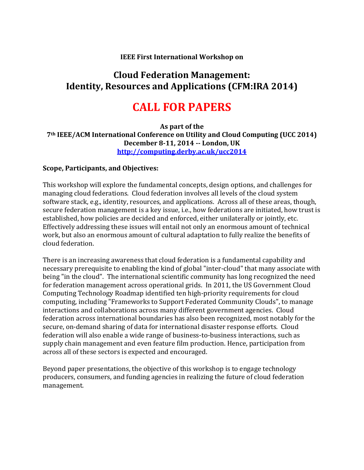## **IEEE First International Workshop on**

## **Cloud Federation Management: Identity, Resources and Applications (CFM:IRA 2014)**

# **CALL FOR PAPERS**

**As part of the 7th IEEE/ACM International Conference on Utility and Cloud Computing (UCC 2014) December 8-11, 2014 -- London, UK <http://computing.derby.ac.uk/ucc2014>**

## **Scope, Participants, and Objectives:**

This workshop will explore the fundamental concepts, design options, and challenges for managing cloud federations. Cloud federation involves all levels of the cloud system software stack, e.g., identity, resources, and applications. Across all of these areas, though, secure federation management is a key issue, i.e., how federations are initiated, how trust is established, how policies are decided and enforced, either unilaterally or jointly, etc. Effectively addressing these issues will entail not only an enormous amount of technical work, but also an enormous amount of cultural adaptation to fully realize the benefits of cloud federation.

There is an increasing awareness that cloud federation is a fundamental capability and necessary prerequisite to enabling the kind of global "inter-cloud" that many associate with being "in the cloud". The international scientific community has long recognized the need for federation management across operational grids. In 2011, the US Government Cloud Computing Technology Roadmap identified ten high-priority requirements for cloud computing, including "Frameworks to Support Federated Community Clouds", to manage interactions and collaborations across many different government agencies. Cloud federation across international boundaries has also been recognized, most notably for the secure, on-demand sharing of data for international disaster response efforts. Cloud federation will also enable a wide range of business-to-business interactions, such as supply chain management and even feature film production. Hence, participation from across all of these sectors is expected and encouraged.

Beyond paper presentations, the objective of this workshop is to engage technology producers, consumers, and funding agencies in realizing the future of cloud federation management.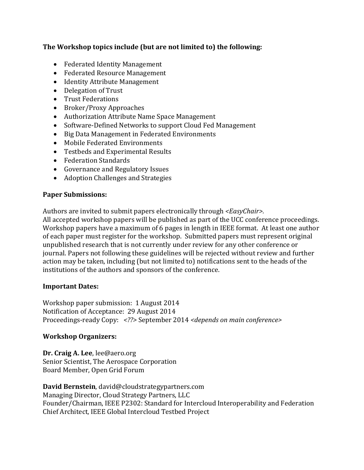## **The Workshop topics include (but are not limited to) the following:**

- Federated Identity Management
- Federated Resource Management
- Identity Attribute Management
- Delegation of Trust
- Trust Federations
- Broker/Proxy Approaches
- Authorization Attribute Name Space Management
- Software-Defined Networks to support Cloud Fed Management
- Big Data Management in Federated Environments
- Mobile Federated Environments
- Testbeds and Experimental Results
- Federation Standards
- Governance and Regulatory Issues
- Adoption Challenges and Strategies

## **Paper Submissions:**

Authors are invited to submit papers electronically through *<EasyChair>.*

All accepted workshop papers will be published as part of the UCC conference proceedings. Workshop papers have a maximum of 6 pages in length in IEEE format. At least one author of each paper must register for the workshop. Submitted papers must represent original unpublished research that is not currently under review for any other conference or journal. Papers not following these guidelines will be rejected without review and further action may be taken, including (but not limited to) notifications sent to the heads of the institutions of the authors and sponsors of the conference.

#### **Important Dates:**

Workshop paper submission: 1 August 2014 Notification of Acceptance: 29 August 2014 Proceedings-ready Copy: *<??>* September 2014 *<depends on main conference>*

## **Workshop Organizers:**

**Dr. Craig A. Lee**, lee@aero.org Senior Scientist, The Aerospace Corporation Board Member, Open Grid Forum

**David Bernstein**, david@cloudstrategypartners.com Managing Director, Cloud Strategy Partners, LLC Founder/Chairman, IEEE P2302: Standard for Intercloud Interoperability and Federation Chief Architect, IEEE Global Intercloud Testbed Project